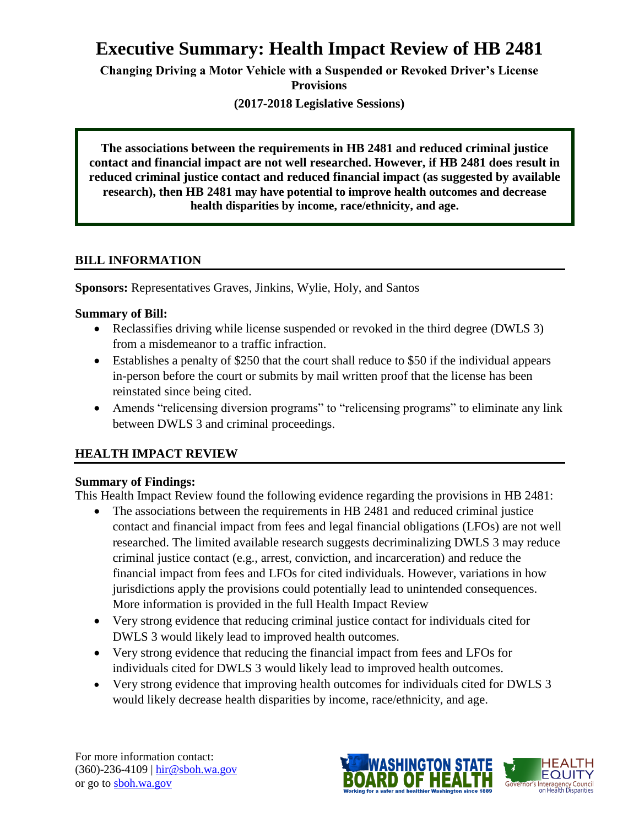# **Executive Summary: Health Impact Review of HB 2481**

**Changing Driving a Motor Vehicle with a Suspended or Revoked Driver's License Provisions**

**(2017-2018 Legislative Sessions)**

**The associations between the requirements in HB 2481 and reduced criminal justice contact and financial impact are not well researched. However, if HB 2481 does result in reduced criminal justice contact and reduced financial impact (as suggested by available research), then HB 2481 may have potential to improve health outcomes and decrease health disparities by income, race/ethnicity, and age.**

### **BILL INFORMATION**

**Sponsors:** Representatives Graves, Jinkins, Wylie, Holy, and Santos

### **Summary of Bill:**

- Reclassifies driving while license suspended or revoked in the third degree (DWLS 3) from a misdemeanor to a traffic infraction.
- Establishes a penalty of \$250 that the court shall reduce to \$50 if the individual appears in-person before the court or submits by mail written proof that the license has been reinstated since being cited.
- Amends "relicensing diversion programs" to "relicensing programs" to eliminate any link between DWLS 3 and criminal proceedings.

# **HEALTH IMPACT REVIEW**

# **Summary of Findings:**

This Health Impact Review found the following evidence regarding the provisions in HB 2481:

- The associations between the requirements in HB 2481 and reduced criminal justice contact and financial impact from fees and legal financial obligations (LFOs) are not well researched. The limited available research suggests decriminalizing DWLS 3 may reduce criminal justice contact (e.g., arrest, conviction, and incarceration) and reduce the financial impact from fees and LFOs for cited individuals. However, variations in how jurisdictions apply the provisions could potentially lead to unintended consequences. More information is provided in the full Health Impact Review
- Very strong evidence that reducing criminal justice contact for individuals cited for DWLS 3 would likely lead to improved health outcomes.
- Very strong evidence that reducing the financial impact from fees and LFOs for individuals cited for DWLS 3 would likely lead to improved health outcomes.
- Very strong evidence that improving health outcomes for individuals cited for DWLS 3 would likely decrease health disparities by income, race/ethnicity, and age.

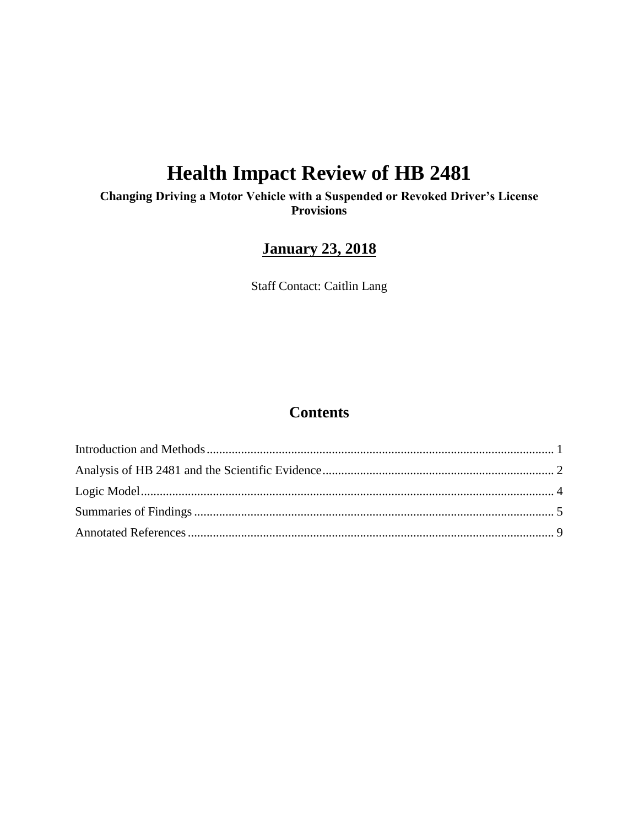# **Health Impact Review of HB 2481**

**Changing Driving a Motor Vehicle with a Suspended or Revoked Driver's License Provisions**

# **January 23, 2018**

Staff Contact: Caitlin Lang

# **Contents**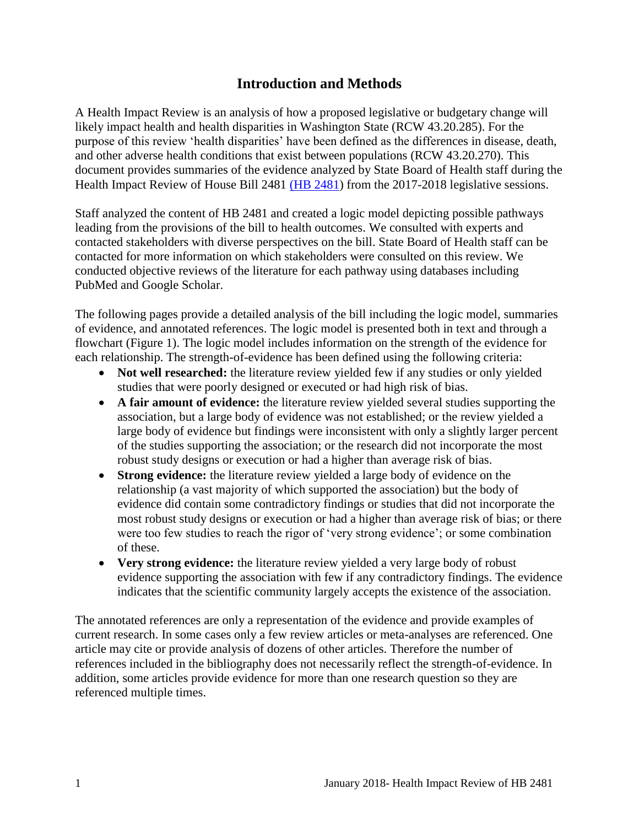# **Introduction and Methods**

<span id="page-2-0"></span>A Health Impact Review is an analysis of how a proposed legislative or budgetary change will likely impact health and health disparities in Washington State (RCW 43.20.285). For the purpose of this review 'health disparities' have been defined as the differences in disease, death, and other adverse health conditions that exist between populations (RCW 43.20.270). This document provides summaries of the evidence analyzed by State Board of Health staff during the Health Impact Review of House Bill 2481 [\(HB 2481\)](http://lawfilesext.leg.wa.gov/biennium/2017-18/Pdf/Bills/House%20Bills/2481.pdf) from the 2017-2018 legislative sessions.

Staff analyzed the content of HB 2481 and created a logic model depicting possible pathways leading from the provisions of the bill to health outcomes. We consulted with experts and contacted stakeholders with diverse perspectives on the bill. State Board of Health staff can be contacted for more information on which stakeholders were consulted on this review. We conducted objective reviews of the literature for each pathway using databases including PubMed and Google Scholar.

The following pages provide a detailed analysis of the bill including the logic model, summaries of evidence, and annotated references. The logic model is presented both in text and through a flowchart (Figure 1). The logic model includes information on the strength of the evidence for each relationship. The strength-of-evidence has been defined using the following criteria:

- **Not well researched:** the literature review yielded few if any studies or only yielded studies that were poorly designed or executed or had high risk of bias.
- **A fair amount of evidence:** the literature review yielded several studies supporting the association, but a large body of evidence was not established; or the review yielded a large body of evidence but findings were inconsistent with only a slightly larger percent of the studies supporting the association; or the research did not incorporate the most robust study designs or execution or had a higher than average risk of bias.
- **Strong evidence:** the literature review yielded a large body of evidence on the relationship (a vast majority of which supported the association) but the body of evidence did contain some contradictory findings or studies that did not incorporate the most robust study designs or execution or had a higher than average risk of bias; or there were too few studies to reach the rigor of 'very strong evidence'; or some combination of these.
- **Very strong evidence:** the literature review yielded a very large body of robust evidence supporting the association with few if any contradictory findings. The evidence indicates that the scientific community largely accepts the existence of the association.

The annotated references are only a representation of the evidence and provide examples of current research. In some cases only a few review articles or meta-analyses are referenced. One article may cite or provide analysis of dozens of other articles. Therefore the number of references included in the bibliography does not necessarily reflect the strength-of-evidence. In addition, some articles provide evidence for more than one research question so they are referenced multiple times.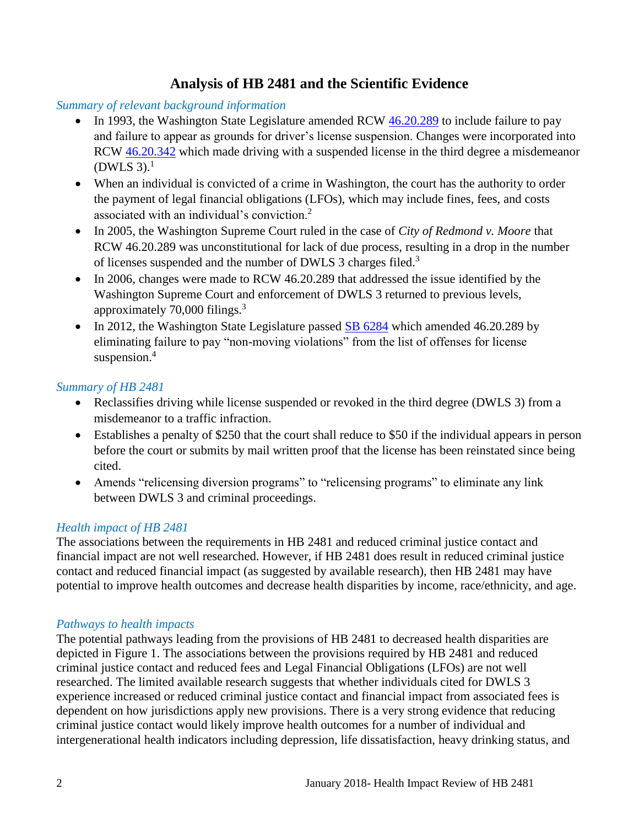# **Analysis of HB 2481 and the Scientific Evidence**

#### <span id="page-3-0"></span>*Summary of relevant background information*

- In 1993, the Washington State Legislature amended RCW [46.20.289](http://app.leg.wa.gov/rcw/default.aspx?cite=46.20.289) to include failure to pay and failure to appear as grounds for driver's license suspension. Changes were incorporated into RCW [46.20.342](http://lawfilesext.leg.wa.gov/biennium/1993-94/Pdf/Bills/Session%20Laws/House/1741-S.SL.pdf?cite=1993%20c%20501%20%C2%A7%201.) which made driving with a suspended license in the third degree a misdemeanor  $(DWLS 3).<sup>1</sup>$
- When an individual is convicted of a crime in Washington, the court has the authority to order the payment of legal financial obligations (LFOs), which may include fines, fees, and costs associated with an individual's conviction.<sup>2</sup>
- In 2005, the Washington Supreme Court ruled in the case of *City of Redmond v. Moore* that RCW 46.20.289 was unconstitutional for lack of due process, resulting in a drop in the number of licenses suspended and the number of DWLS 3 charges filed.<sup>3</sup>
- In 2006, changes were made to RCW 46.20.289 that addressed the issue identified by the Washington Supreme Court and enforcement of DWLS 3 returned to previous levels, approximately 70,000 filings.<sup>3</sup>
- In 2012, the Washington State Legislature passed  $\underline{\text{SB}}$  6284 which amended 46.20.289 by eliminating failure to pay "non-moving violations" from the list of offenses for license suspension.<sup>4</sup>

### *Summary of HB 2481*

- Reclassifies driving while license suspended or revoked in the third degree (DWLS 3) from a misdemeanor to a traffic infraction.
- Establishes a penalty of \$250 that the court shall reduce to \$50 if the individual appears in person before the court or submits by mail written proof that the license has been reinstated since being cited.
- Amends "relicensing diversion programs" to "relicensing programs" to eliminate any link between DWLS 3 and criminal proceedings.

# *Health impact of HB 2481*

The associations between the requirements in HB 2481 and reduced criminal justice contact and financial impact are not well researched. However, if HB 2481 does result in reduced criminal justice contact and reduced financial impact (as suggested by available research), then HB 2481 may have potential to improve health outcomes and decrease health disparities by income, race/ethnicity, and age.

#### *Pathways to health impacts*

The potential pathways leading from the provisions of HB 2481 to decreased health disparities are depicted in Figure 1. The associations between the provisions required by HB 2481 and reduced criminal justice contact and reduced fees and Legal Financial Obligations (LFOs) are not well researched. The limited available research suggests that whether individuals cited for DWLS 3 experience increased or reduced criminal justice contact and financial impact from associated fees is dependent on how jurisdictions apply new provisions. There is a very strong evidence that reducing criminal justice contact would likely improve health outcomes for a number of individual and intergenerational health indicators including depression, life dissatisfaction, heavy drinking status, and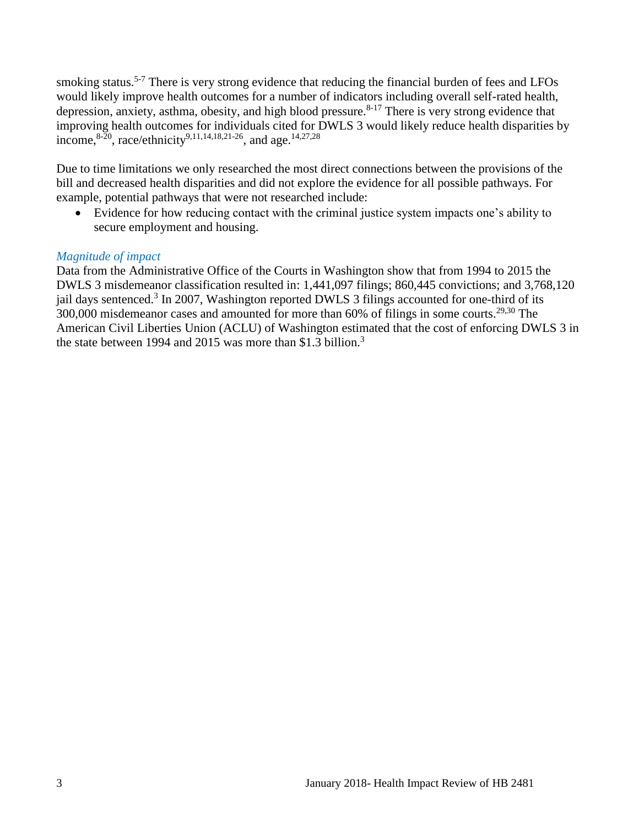smoking status.<sup>5-7</sup> There is very strong evidence that reducing the financial burden of fees and LFOs would likely improve health outcomes for a number of indicators including overall self-rated health, depression, anxiety, asthma, obesity, and high blood pressure.<sup>8-17</sup> There is very strong evidence that improving health outcomes for individuals cited for DWLS 3 would likely reduce health disparities by income,  $8-20$ , race/ethnicity<sup>[9,](#page-12-0)[11,](#page-13-0)[14,](#page-14-0)[18,](#page-15-0)[21-26](#page-16-0)</sup>, and age.<sup>[14](#page-14-0)[,27](#page-17-0)[,28](#page-18-0)</sup>

Due to time limitations we only researched the most direct connections between the provisions of the bill and decreased health disparities and did not explore the evidence for all possible pathways. For example, potential pathways that were not researched include:

 Evidence for how reducing contact with the criminal justice system impacts one's ability to secure employment and housing.

#### *Magnitude of impact*

Data from the Administrative Office of the Courts in Washington show that from 1994 to 2015 the DWLS 3 misdemeanor classification resulted in: 1,441,097 filings; 860,445 convictions; and 3,768,120 jail days sentenced.<sup>3</sup> In 2007, Washington reported DWLS 3 filings accounted for one-third of its 300,000 misdemeanor cases and amounted for more than 60% of filings in some courts.<sup>[29,](#page-19-0)[30](#page-19-1)</sup> The American Civil Liberties Union (ACLU) of Washington estimated that the cost of enforcing DWLS 3 in the state between 1994 and 2015 was more than \$1.3 billion.<sup>3</sup>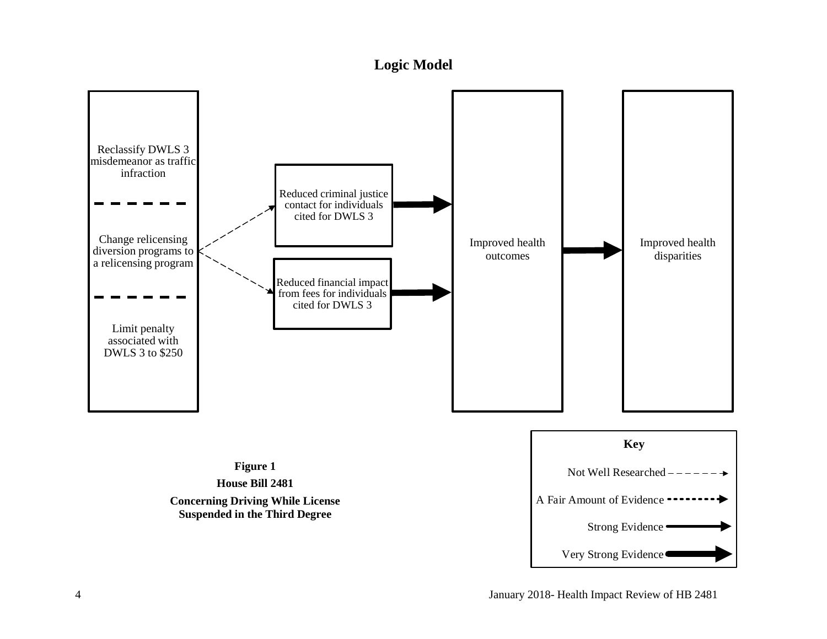# **Logic Model**

<span id="page-5-0"></span>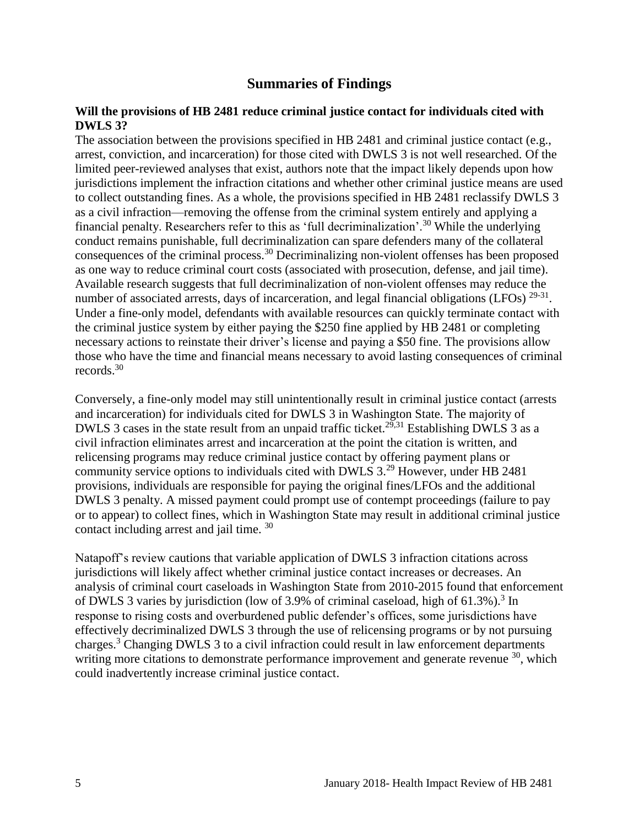### **Summaries of Findings**

#### <span id="page-6-0"></span>**Will the provisions of HB 2481 reduce criminal justice contact for individuals cited with DWLS 3?**

The association between the provisions specified in HB 2481 and criminal justice contact (e.g., arrest, conviction, and incarceration) for those cited with DWLS 3 is not well researched. Of the limited peer-reviewed analyses that exist, authors note that the impact likely depends upon how jurisdictions implement the infraction citations and whether other criminal justice means are used to collect outstanding fines. As a whole, the provisions specified in HB 2481 reclassify DWLS 3 as a civil infraction—removing the offense from the criminal system entirely and applying a financial penalty. Researchers refer to this as 'full decriminalization'.<sup>30</sup> While the underlying conduct remains punishable, full decriminalization can spare defenders many of the collateral consequences of the criminal process.<sup>30</sup> Decriminalizing non-violent offenses has been proposed as one way to reduce criminal court costs (associated with prosecution, defense, and jail time). Available research suggests that full decriminalization of non-violent offenses may reduce the number of associated arrests, days of incarceration, and legal financial obligations (LFOs)  $29-31$ . Under a fine-only model, defendants with available resources can quickly terminate contact with the criminal justice system by either paying the \$250 fine applied by HB 2481 or completing necessary actions to reinstate their driver's license and paying a \$50 fine. The provisions allow those who have the time and financial means necessary to avoid lasting consequences of criminal records.<sup>30</sup>

Conversely, a fine-only model may still unintentionally result in criminal justice contact (arrests and incarceration) for individuals cited for DWLS 3 in Washington State. The majority of DWLS 3 cases in the state result from an unpaid traffic ticket.<sup>[29](#page-19-0)[,31](#page-19-2)</sup> Establishing DWLS 3 as a civil infraction eliminates arrest and incarceration at the point the citation is written, and relicensing programs may reduce criminal justice contact by offering payment plans or community service options to individuals cited with DWLS 3.<sup>29</sup> However, under HB 2481 provisions, individuals are responsible for paying the original fines/LFOs and the additional DWLS 3 penalty. A missed payment could prompt use of contempt proceedings (failure to pay or to appear) to collect fines, which in Washington State may result in additional criminal justice contact including arrest and jail time. 30

Natapoff's review cautions that variable application of DWLS 3 infraction citations across jurisdictions will likely affect whether criminal justice contact increases or decreases. An analysis of criminal court caseloads in Washington State from 2010-2015 found that enforcement of DWLS 3 varies by jurisdiction (low of 3.9% of criminal caseload, high of  $61.3\%$ ).<sup>3</sup> In response to rising costs and overburdened public defender's offices, some jurisdictions have effectively decriminalized DWLS 3 through the use of relicensing programs or by not pursuing charges.<sup>3</sup> Changing [DWLS 3 to a civi](#page-12-1)l [infraction coul](#page-21-0)d result in law enforcement departments writing more citations to demonstrate performance improvement and generate revenue <sup>30</sup>, which could inadvertently increase criminal justice contact.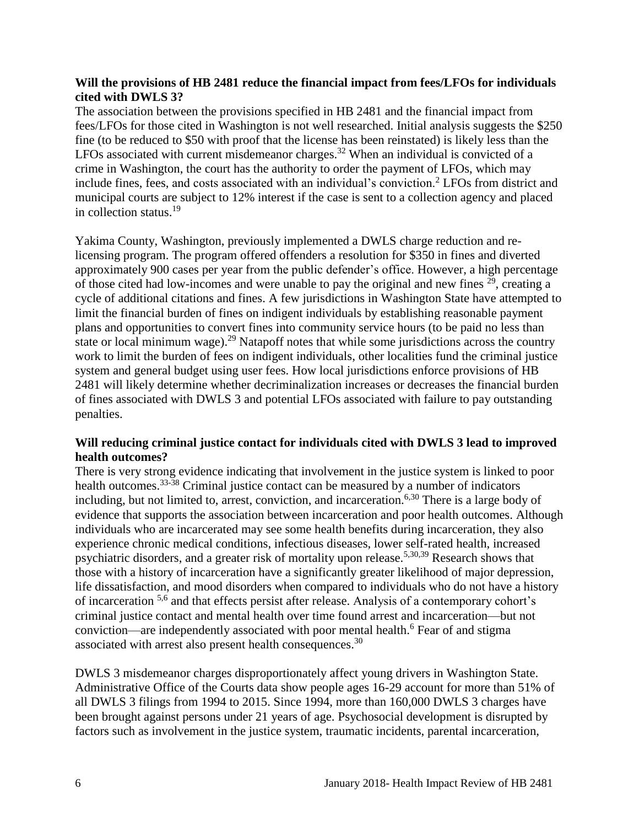#### **Will the provisions of HB 2481 reduce the financial impact from fees/LFOs for individuals cited with DWLS 3?**

The association between the provisions specified in HB 2481 and the financial impact from fees/LFOs for those cited in Washington is not well researched. Initial analysis suggests the \$250 fine (to be reduced to \$50 with proof that the license has been reinstated) is likely less than the LFOs associated with current misdemeanor charges.<sup>32</sup> When an individual is convicted of a crime in Washington, the court has the authority to order the payment of LFOs, which may include fines, fees, and costs associated with an individual's conviction.<sup>2</sup> LFOs from district and municipal courts are subject to 12% interest if the case is sent to a collection agency and placed in collection status.<sup>19</sup>

Yakima County, Washington, previously implemented a DWLS charge reduction and relicensing program. The program offered offenders a resolution for \$350 in fines and diverted approximately 900 cases per year from the public defender's office. However, a high percentage of those cited had low-incomes and were unable to pay the original and new fines  $29$ , creating a cycle of additional citations and fines. A few jurisdictions in Washington State have attempted to limit the financial burden of fines on indigent individuals by establishing reasonable payment plans and opportunities to convert fines into community service hours (to be paid no less than state or local minimum wage).<sup>29</sup> Natapoff notes that while some jurisdictions across the country work to limit the burden of fees on indigent individuals, other localities fund the criminal justice system and general budget using user fees. How local jurisdictions enforce provisions of HB 2481 will likely determine whether decriminalization increases or decreases the financial burden of fines associated with DWLS 3 and potential LFOs associated with failure to pay outstanding penalties.

#### **Will reducing criminal justice contact for individuals cited with DWLS 3 lead to improved health outcomes?**

There is very strong evidence indicating that involvement in the justice system is linked to poor health outcomes.<sup>33-38</sup> Criminal justice contact can be measured by a number of indicators including, but not limited to, arrest, conviction, and incarceration.<sup>[6,](#page-11-0)[30](#page-19-1)</sup> There is a large body of evidence that supports the association between incarceration and poor health outcomes. Although individuals who are incarcerated may see some health benefits during incarceration, they also experience chronic medical conditions, infectious diseases, lower self-rated health, increased psychiatric disorders, and a greater risk of mortality upon release.[5,](#page-11-1)[30](#page-19-1)[,39](#page-22-0) Research shows that those with a history of incarceration have a significantly greater likelihood of major depression, life dissatisfaction, and mood disorders when compared to individuals who do not have a history of incarceration <sup>[5,](#page-11-1)[6](#page-11-0)</sup> and that effects persist after release. Analysis of a contemporary cohort's criminal justice contact and mental health over time found arrest and incarceration—but not conviction—are independently associated with poor mental health.<sup>6</sup> Fear of and stigma associated with arrest also present health consequences.<sup>30</sup>

DWLS 3 misdemeanor charges disproportionately affect young drivers in Washington State. Administrative Office of the Courts data show people ages 16-29 account for more than 51% of all DWLS 3 filings from 1994 to 2015. Since 1994, more than 160,000 DWLS 3 charges have been brought against persons under 21 years of age. Psychosocial development is disrupted by factors such as involvement in the justice system, traumatic incidents, parental incarceration,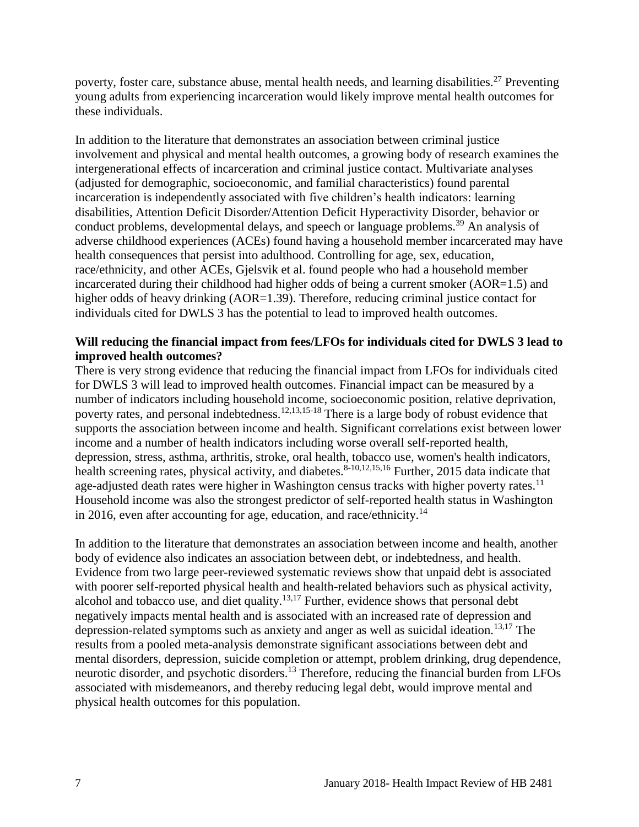poverty, foster care, substance abuse, mental health needs, and learning disabilities.<sup>27</sup> Preventing young adults from experiencing incarceration would likely improve mental health outcomes for these individuals.

In addition to the literature that demonstrates an association between criminal justice involvement and physical and mental health outcomes, a growing body of research examines the intergenerational effects of incarceration and criminal justice contact. Multivariate analyses (adjusted for demographic, socioeconomic, and familial characteristics) found parental incarceration is independently associated with five children's health indicators: learning disabilities, Attention Deficit Disorder/Attention Deficit Hyperactivity Disorder, behavior or conduct problems, developmental delays, and speech or language problems.<sup>39</sup> An analysis of adverse childhood experiences (ACEs) found having a household member incarcerated may have health consequences that persist into adulthood. Controlling for age, sex, education, race/ethnicity, and other ACEs, Gjelsvik et al. found people who had a household member incarcerated during their childhood had higher odds of being a current smoker (AOR=1.5) and higher odds of heavy drinking (AOR=1.39). Therefore, reducing criminal justice contact for individuals cited for DWLS 3 has the potential to lead to improved health outcomes.

#### **Will reducing the financial impact from fees/LFOs for individuals cited for DWLS 3 lead to improved health outcomes?**

There is very strong evidence that reducing the financial impact from LFOs for individuals cited for DWLS 3 will lead to improved health outcomes. Financial impact can be measured by a number of indicators including household income, socioeconomic position, relative deprivation, poverty rates, and personal indebtedness.<sup>[12,](#page-13-1)[13,](#page-13-2)[15-18](#page-14-1)</sup> There is a large body of robust evidence that supports the association between income and health. Significant correlations exist between lower income and a number of health indicators including worse overall self-reported health, depression, stress, asthma, arthritis, stroke, oral health, tobacco use, women's health indicators, health screening rates, physical activity, and diabetes.<sup>[8-10](#page-12-1)[,12](#page-13-1)[,15](#page-14-1)[,16](#page-14-2)</sup> Further, 2015 data indicate that age-adjusted death rates were higher in Washington census tracks with higher poverty rates.<sup>11</sup> Household income was also the strongest predictor of self-reported health status in Washington in 2016, even after accounting for age, education, and race/ethnicity.<sup>14</sup>

In addition to the literature that demonstrates an association between income and health, another body of evidence also indicates an association between debt, or indebtedness, and health. Evidence from two large peer-reviewed systematic reviews show that unpaid debt is associated with poorer self-reported physical health and health-related behaviors such as physical activity, alcohol and tobacco use, and diet quality.<sup>[13,](#page-13-2)[17](#page-14-3)</sup> Further, evidence shows that personal debt negatively impacts mental health and is associated with an increased rate of depression and depression-related symptoms such as anxiety and anger as well as suicidal ideation.<sup>[13](#page-13-2)[,17](#page-14-3)</sup> The results from a pooled meta-analysis demonstrate significant associations between debt and mental disorders, depression, suicide completion or attempt, problem drinking, drug dependence, neurotic disorder, and psychotic disorders.<sup>13</sup> Therefore, reducing the financial burden from LFOs associated with misdemeanors, and thereby reducing legal debt, would improve mental and physical health outcomes for this population.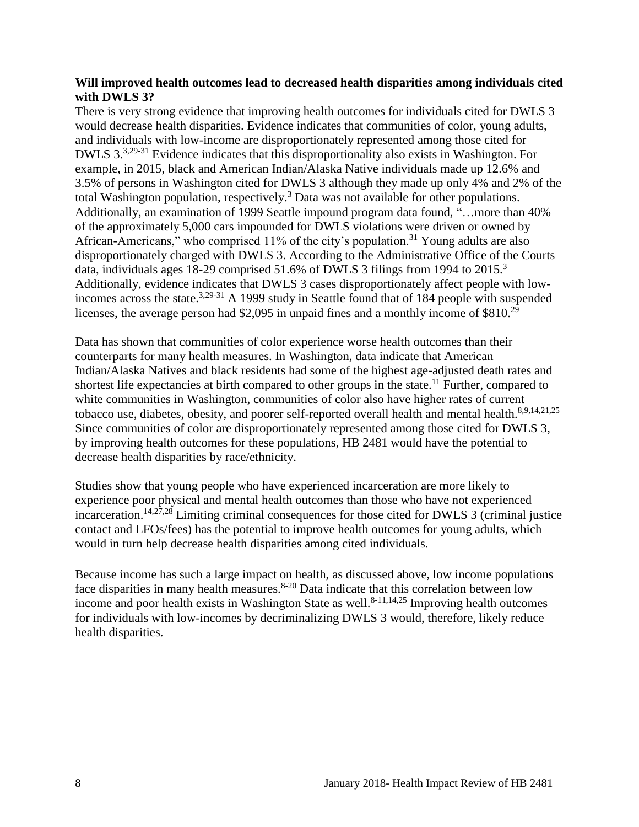#### **Will improved health outcomes lead to decreased health disparities among individuals cited with DWLS 3?**

There is very strong evidence that improving health outcomes for individuals cited for DWLS 3 would decrease health disparities. Evidence indicates that communities of color, young adults, and individuals with low-income are disproportionately represented among those cited for DWLS 3.[3](#page-10-1)[,29-31](#page-19-0) Evidence indicates that this disproportionality also exists in Washington. For example, in 2015, black and American Indian/Alaska Native individuals made up 12.6% and 3.5% of persons in Washington cited for DWLS 3 although they made up only 4% and 2% of the total Washington population, respectively.<sup>3</sup> Data was not available for other populations. Additionally, an examination of 1999 Seattle impound program data found, "…more than 40% of the approximately 5,000 cars impounded for DWLS violations were driven or owned by African-Americans," who comprised  $11\%$  of the city's population.<sup>31</sup> Young adults are also disproportionately charged with DWLS 3. According to the Administrative Office of the Courts data, individuals ages 18-29 comprised 51.6% of DWLS 3 filings from 1994 to 2015.<sup>3</sup> Additionally, evidence indicates that DWLS 3 cases disproportionately affect people with lowincomes across the state.[3,](#page-10-1)[29-31](#page-19-0) A 1999 study in Seattle found that of 184 people with suspended licenses, the average person had \$2,095 in unpaid fines and a monthly income of \$810.<sup>29</sup>

Data has shown that communities of color experience worse health outcomes than their counterparts for many health measures. In Washington, data indicate that American Indian/Alaska Natives and black residents had some of the highest age-adjusted death rates and shortest life expectancies at birth compared to other groups in the state.<sup>11</sup> Further, compared to white communities in Washington, communities of color also have higher rates of current tobacco use, diabetes, obesity, and poorer self-reported overall health and mental health.<sup>[8](#page-12-1)[,9](#page-12-0)[,14](#page-14-0)[,21](#page-16-0)[,25](#page-17-1)</sup> Since communities of color are disproportionately represented among those cited for DWLS 3, by improving health outcomes for these populations, HB 2481 would have the potential to decrease health disparities by race/ethnicity.

Studies show that young people who have experienced incarceration are more likely to experience poor physical and mental health outcomes than those who have not experienced incarceration.<sup>[14,](#page-14-0)[27,](#page-17-0)[28](#page-18-0)</sup> Limiting criminal consequences for those cited for DWLS 3 (criminal justice contact and LFOs/fees) has the potential to improve health outcomes for young adults, which would in turn help decrease health disparities among cited individuals.

Because income has such a large impact on health, as discussed above, low income populations face disparities in many health measures.  $8-20$  Data indicate that this correlation between low income and poor health exists in Washington State as well.<sup>[8-11](#page-12-1)[,14](#page-14-0)[,25](#page-17-1)</sup> Improving health outcomes for individuals with low-incomes by decriminalizing DWLS 3 would, therefore, likely reduce health disparities.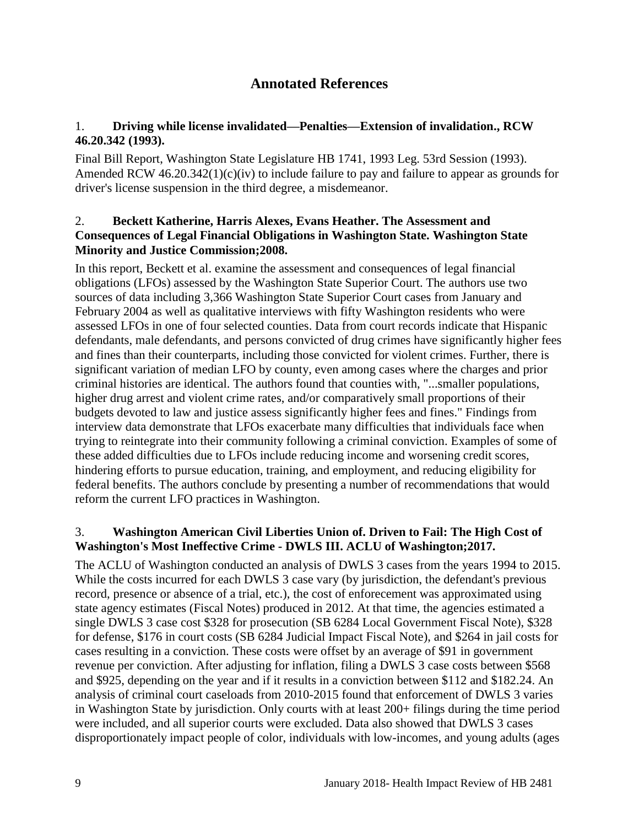# **Annotated References**

#### <span id="page-10-0"></span>1. **Driving while license invalidated—Penalties—Extension of invalidation., RCW 46.20.342 (1993).**

Final Bill Report, Washington State Legislature HB 1741, 1993 Leg. 53rd Session (1993). Amended RCW 46.20.342(1)(c)(iv) to include failure to pay and failure to appear as grounds for driver's license suspension in the third degree, a misdemeanor.

#### 2. **Beckett Katherine, Harris Alexes, Evans Heather. The Assessment and Consequences of Legal Financial Obligations in Washington State. Washington State Minority and Justice Commission;2008.**

In this report, Beckett et al. examine the assessment and consequences of legal financial obligations (LFOs) assessed by the Washington State Superior Court. The authors use two sources of data including 3,366 Washington State Superior Court cases from January and February 2004 as well as qualitative interviews with fifty Washington residents who were assessed LFOs in one of four selected counties. Data from court records indicate that Hispanic defendants, male defendants, and persons convicted of drug crimes have significantly higher fees and fines than their counterparts, including those convicted for violent crimes. Further, there is significant variation of median LFO by county, even among cases where the charges and prior criminal histories are identical. The authors found that counties with, "...smaller populations, higher drug arrest and violent crime rates, and/or comparatively small proportions of their budgets devoted to law and justice assess significantly higher fees and fines." Findings from interview data demonstrate that LFOs exacerbate many difficulties that individuals face when trying to reintegrate into their community following a criminal conviction. Examples of some of these added difficulties due to LFOs include reducing income and worsening credit scores, hindering efforts to pursue education, training, and employment, and reducing eligibility for federal benefits. The authors conclude by presenting a number of recommendations that would reform the current LFO practices in Washington.

### <span id="page-10-1"></span>3. **Washington American Civil Liberties Union of. Driven to Fail: The High Cost of Washington's Most Ineffective Crime - DWLS III. ACLU of Washington;2017.**

The ACLU of Washington conducted an analysis of DWLS 3 cases from the years 1994 to 2015. While the costs incurred for each DWLS 3 case vary (by jurisdiction, the defendant's previous record, presence or absence of a trial, etc.), the cost of enforecement was approximated using state agency estimates (Fiscal Notes) produced in 2012. At that time, the agencies estimated a single DWLS 3 case cost \$328 for prosecution (SB 6284 Local Government Fiscal Note), \$328 for defense, \$176 in court costs (SB 6284 Judicial Impact Fiscal Note), and \$264 in jail costs for cases resulting in a conviction. These costs were offset by an average of \$91 in government revenue per conviction. After adjusting for inflation, filing a DWLS 3 case costs between \$568 and \$925, depending on the year and if it results in a conviction between \$112 and \$182.24. An analysis of criminal court caseloads from 2010-2015 found that enforcement of DWLS 3 varies in Washington State by jurisdiction. Only courts with at least 200+ filings during the time period were included, and all superior courts were excluded. Data also showed that DWLS 3 cases disproportionately impact people of color, individuals with low-incomes, and young adults (ages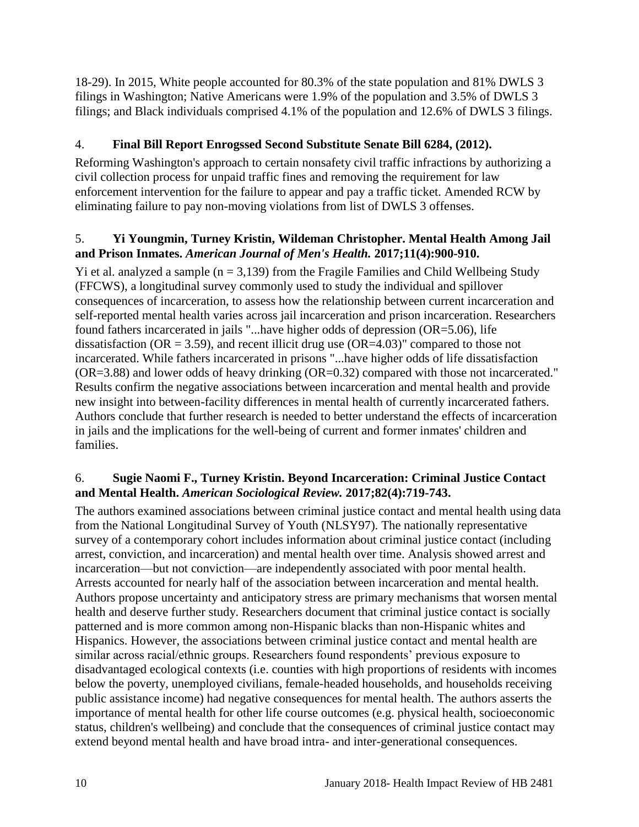18-29). In 2015, White people accounted for 80.3% of the state population and 81% DWLS 3 filings in Washington; Native Americans were 1.9% of the population and 3.5% of DWLS 3 filings; and Black individuals comprised 4.1% of the population and 12.6% of DWLS 3 filings.

## 4. **Final Bill Report Enrogssed Second Substitute Senate Bill 6284, (2012).**

Reforming Washington's approach to certain nonsafety civil traffic infractions by authorizing a civil collection process for unpaid traffic fines and removing the requirement for law enforcement intervention for the failure to appear and pay a traffic ticket. Amended RCW by eliminating failure to pay non-moving violations from list of DWLS 3 offenses.

#### <span id="page-11-1"></span>5. **Yi Youngmin, Turney Kristin, Wildeman Christopher. Mental Health Among Jail and Prison Inmates.** *American Journal of Men's Health.* **2017;11(4):900-910.**

Yi et al. analyzed a sample  $(n = 3,139)$  from the Fragile Families and Child Wellbeing Study (FFCWS), a longitudinal survey commonly used to study the individual and spillover consequences of incarceration, to assess how the relationship between current incarceration and self-reported mental health varies across jail incarceration and prison incarceration. Researchers found fathers incarcerated in jails "...have higher odds of depression (OR=5.06), life dissatisfaction ( $OR = 3.59$ ), and recent illicit drug use ( $OR = 4.03$ )" compared to those not incarcerated. While fathers incarcerated in prisons "...have higher odds of life dissatisfaction (OR=3.88) and lower odds of heavy drinking (OR=0.32) compared with those not incarcerated." Results confirm the negative associations between incarceration and mental health and provide new insight into between-facility differences in mental health of currently incarcerated fathers. Authors conclude that further research is needed to better understand the effects of incarceration in jails and the implications for the well-being of current and former inmates' children and families.

### <span id="page-11-0"></span>6. **Sugie Naomi F., Turney Kristin. Beyond Incarceration: Criminal Justice Contact and Mental Health.** *American Sociological Review.* **2017;82(4):719-743.**

The authors examined associations between criminal justice contact and mental health using data from the National Longitudinal Survey of Youth (NLSY97). The nationally representative survey of a contemporary cohort includes information about criminal justice contact (including arrest, conviction, and incarceration) and mental health over time. Analysis showed arrest and incarceration—but not conviction—are independently associated with poor mental health. Arrests accounted for nearly half of the association between incarceration and mental health. Authors propose uncertainty and anticipatory stress are primary mechanisms that worsen mental health and deserve further study. Researchers document that criminal justice contact is socially patterned and is more common among non-Hispanic blacks than non-Hispanic whites and Hispanics. However, the associations between criminal justice contact and mental health are similar across racial/ethnic groups. Researchers found respondents' previous exposure to disadvantaged ecological contexts (i.e. counties with high proportions of residents with incomes below the poverty, unemployed civilians, female-headed households, and households receiving public assistance income) had negative consequences for mental health. The authors asserts the importance of mental health for other life course outcomes (e.g. physical health, socioeconomic status, children's wellbeing) and conclude that the consequences of criminal justice contact may extend beyond mental health and have broad intra- and inter-generational consequences.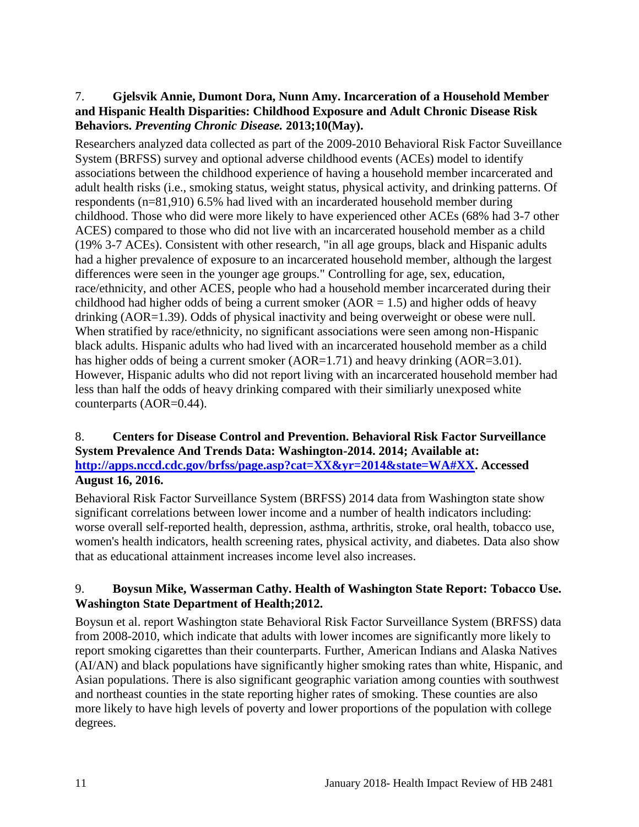#### 7. **Gjelsvik Annie, Dumont Dora, Nunn Amy. Incarceration of a Household Member and Hispanic Health Disparities: Childhood Exposure and Adult Chronic Disease Risk Behaviors.** *Preventing Chronic Disease.* **2013;10(May).**

Researchers analyzed data collected as part of the 2009-2010 Behavioral Risk Factor Suveillance System (BRFSS) survey and optional adverse childhood events (ACEs) model to identify associations between the childhood experience of having a household member incarcerated and adult health risks (i.e., smoking status, weight status, physical activity, and drinking patterns. Of respondents (n=81,910) 6.5% had lived with an incarderated household member during childhood. Those who did were more likely to have experienced other ACEs (68% had 3-7 other ACES) compared to those who did not live with an incarcerated household member as a child (19% 3-7 ACEs). Consistent with other research, "in all age groups, black and Hispanic adults had a higher prevalence of exposure to an incarcerated household member, although the largest differences were seen in the younger age groups." Controlling for age, sex, education, race/ethnicity, and other ACES, people who had a household member incarcerated during their childhood had higher odds of being a current smoker ( $AOR = 1.5$ ) and higher odds of heavy drinking (AOR=1.39). Odds of physical inactivity and being overweight or obese were null. When stratified by race/ethnicity, no significant associations were seen among non-Hispanic black adults. Hispanic adults who had lived with an incarcerated household member as a child has higher odds of being a current smoker (AOR=1.71) and heavy drinking (AOR=3.01). However, Hispanic adults who did not report living with an incarcerated household member had less than half the odds of heavy drinking compared with their similiarly unexposed white counterparts (AOR=0.44).

#### <span id="page-12-1"></span>8. **Centers for Disease Control and Prevention. Behavioral Risk Factor Surveillance System Prevalence And Trends Data: Washington-2014. 2014; Available at: [http://apps.nccd.cdc.gov/brfss/page.asp?cat=XX&yr=2014&state=WA#XX.](http://apps.nccd.cdc.gov/brfss/page.asp?cat=XX&yr=2014&state=WA#XX) Accessed August 16, 2016.**

Behavioral Risk Factor Surveillance System (BRFSS) 2014 data from Washington state show significant correlations between lower income and a number of health indicators including: worse overall self-reported health, depression, asthma, arthritis, stroke, oral health, tobacco use, women's health indicators, health screening rates, physical activity, and diabetes. Data also show that as educational attainment increases income level also increases.

### <span id="page-12-0"></span>9. **Boysun Mike, Wasserman Cathy. Health of Washington State Report: Tobacco Use. Washington State Department of Health;2012.**

Boysun et al. report Washington state Behavioral Risk Factor Surveillance System (BRFSS) data from 2008-2010, which indicate that adults with lower incomes are significantly more likely to report smoking cigarettes than their counterparts. Further, American Indians and Alaska Natives (AI/AN) and black populations have significantly higher smoking rates than white, Hispanic, and Asian populations. There is also significant geographic variation among counties with southwest and northeast counties in the state reporting higher rates of smoking. These counties are also more likely to have high levels of poverty and lower proportions of the population with college degrees.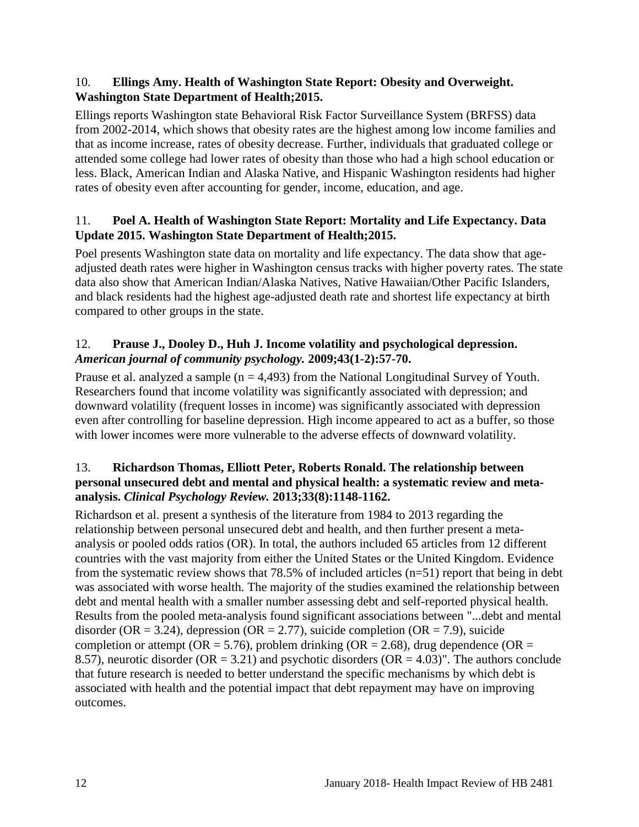#### 10. **Ellings Amy. Health of Washington State Report: Obesity and Overweight. Washington State Department of Health;2015.**

Ellings reports Washington state Behavioral Risk Factor Surveillance System (BRFSS) data from 2002-2014, which shows that obesity rates are the highest among low income families and that as income increase, rates of obesity decrease. Further, individuals that graduated college or attended some college had lower rates of obesity than those who had a high school education or less. Black, American Indian and Alaska Native, and Hispanic Washington residents had higher rates of obesity even after accounting for gender, income, education, and age.

## <span id="page-13-0"></span>11. **Poel A. Health of Washington State Report: Mortality and Life Expectancy. Data Update 2015. Washington State Department of Health;2015.**

Poel presents Washington state data on mortality and life expectancy. The data show that ageadjusted death rates were higher in Washington census tracks with higher poverty rates. The state data also show that American Indian/Alaska Natives, Native Hawaiian/Other Pacific Islanders, and black residents had the highest age-adjusted death rate and shortest life expectancy at birth compared to other groups in the state.

### <span id="page-13-1"></span>12. **Prause J., Dooley D., Huh J. Income volatility and psychological depression.**  *American journal of community psychology.* **2009;43(1-2):57-70.**

Prause et al. analyzed a sample  $(n = 4,493)$  from the National Longitudinal Survey of Youth. Researchers found that income volatility was significantly associated with depression; and downward volatility (frequent losses in income) was significantly associated with depression even after controlling for baseline depression. High income appeared to act as a buffer, so those with lower incomes were more vulnerable to the adverse effects of downward volatility.

#### <span id="page-13-2"></span>13. **Richardson Thomas, Elliott Peter, Roberts Ronald. The relationship between personal unsecured debt and mental and physical health: a systematic review and metaanalysis.** *Clinical Psychology Review.* **2013;33(8):1148-1162.**

Richardson et al. present a synthesis of the literature from 1984 to 2013 regarding the relationship between personal unsecured debt and health, and then further present a metaanalysis or pooled odds ratios (OR). In total, the authors included 65 articles from 12 different countries with the vast majority from either the United States or the United Kingdom. Evidence from the systematic review shows that 78.5% of included articles (n=51) report that being in debt was associated with worse health. The majority of the studies examined the relationship between debt and mental health with a smaller number assessing debt and self-reported physical health. Results from the pooled meta-analysis found significant associations between "...debt and mental disorder (OR = 3.24), depression (OR = 2.77), suicide completion (OR = 7.9), suicide completion or attempt ( $OR = 5.76$ ), problem drinking ( $OR = 2.68$ ), drug dependence ( $OR =$ 8.57), neurotic disorder ( $OR = 3.21$ ) and psychotic disorders ( $OR = 4.03$ )". The authors conclude that future research is needed to better understand the specific mechanisms by which debt is associated with health and the potential impact that debt repayment may have on improving outcomes.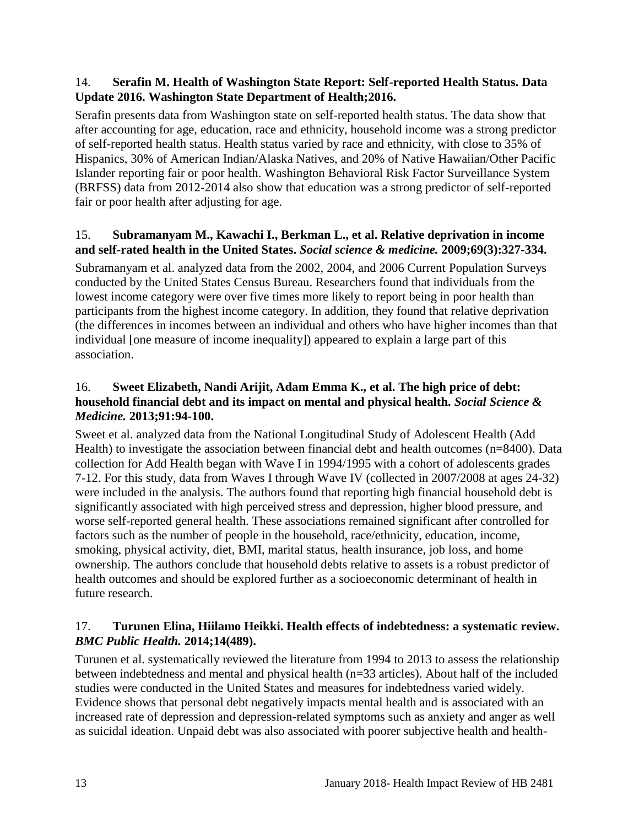#### <span id="page-14-0"></span>14. **Serafin M. Health of Washington State Report: Self-reported Health Status. Data Update 2016. Washington State Department of Health;2016.**

Serafin presents data from Washington state on self-reported health status. The data show that after accounting for age, education, race and ethnicity, household income was a strong predictor of self-reported health status. Health status varied by race and ethnicity, with close to 35% of Hispanics, 30% of American Indian/Alaska Natives, and 20% of Native Hawaiian/Other Pacific Islander reporting fair or poor health. Washington Behavioral Risk Factor Surveillance System (BRFSS) data from 2012-2014 also show that education was a strong predictor of self-reported fair or poor health after adjusting for age.

## <span id="page-14-1"></span>15. **Subramanyam M., Kawachi I., Berkman L., et al. Relative deprivation in income and self-rated health in the United States.** *Social science & medicine.* **2009;69(3):327-334.**

Subramanyam et al. analyzed data from the 2002, 2004, and 2006 Current Population Surveys conducted by the United States Census Bureau. Researchers found that individuals from the lowest income category were over five times more likely to report being in poor health than participants from the highest income category. In addition, they found that relative deprivation (the differences in incomes between an individual and others who have higher incomes than that individual [one measure of income inequality]) appeared to explain a large part of this association.

#### <span id="page-14-2"></span>16. **Sweet Elizabeth, Nandi Arijit, Adam Emma K., et al. The high price of debt: household financial debt and its impact on mental and physical health.** *Social Science & Medicine.* **2013;91:94-100.**

Sweet et al. analyzed data from the National Longitudinal Study of Adolescent Health (Add Health) to investigate the association between financial debt and health outcomes (n=8400). Data collection for Add Health began with Wave I in 1994/1995 with a cohort of adolescents grades 7-12. For this study, data from Waves I through Wave IV (collected in 2007/2008 at ages 24-32) were included in the analysis. The authors found that reporting high financial household debt is significantly associated with high perceived stress and depression, higher blood pressure, and worse self-reported general health. These associations remained significant after controlled for factors such as the number of people in the household, race/ethnicity, education, income, smoking, physical activity, diet, BMI, marital status, health insurance, job loss, and home ownership. The authors conclude that household debts relative to assets is a robust predictor of health outcomes and should be explored further as a socioeconomic determinant of health in future research.

# <span id="page-14-3"></span>17. **Turunen Elina, Hiilamo Heikki. Health effects of indebtedness: a systematic review.**  *BMC Public Health.* **2014;14(489).**

Turunen et al. systematically reviewed the literature from 1994 to 2013 to assess the relationship between indebtedness and mental and physical health (n=33 articles). About half of the included studies were conducted in the United States and measures for indebtedness varied widely. Evidence shows that personal debt negatively impacts mental health and is associated with an increased rate of depression and depression-related symptoms such as anxiety and anger as well as suicidal ideation. Unpaid debt was also associated with poorer subjective health and health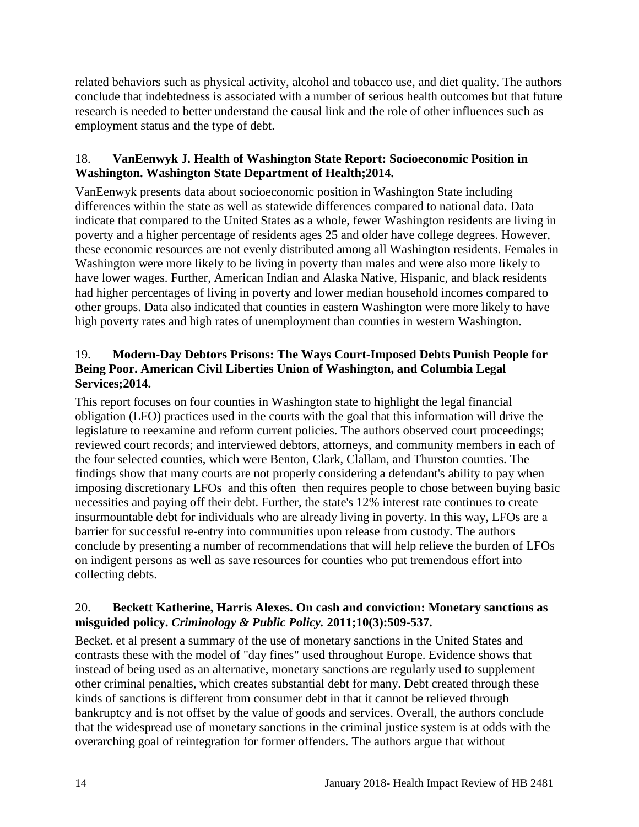related behaviors such as physical activity, alcohol and tobacco use, and diet quality. The authors conclude that indebtedness is associated with a number of serious health outcomes but that future research is needed to better understand the causal link and the role of other influences such as employment status and the type of debt.

## <span id="page-15-0"></span>18. **VanEenwyk J. Health of Washington State Report: Socioeconomic Position in Washington. Washington State Department of Health;2014.**

VanEenwyk presents data about socioeconomic position in Washington State including differences within the state as well as statewide differences compared to national data. Data indicate that compared to the United States as a whole, fewer Washington residents are living in poverty and a higher percentage of residents ages 25 and older have college degrees. However, these economic resources are not evenly distributed among all Washington residents. Females in Washington were more likely to be living in poverty than males and were also more likely to have lower wages. Further, American Indian and Alaska Native, Hispanic, and black residents had higher percentages of living in poverty and lower median household incomes compared to other groups. Data also indicated that counties in eastern Washington were more likely to have high poverty rates and high rates of unemployment than counties in western Washington.

# 19. **Modern-Day Debtors Prisons: The Ways Court-Imposed Debts Punish People for Being Poor. American Civil Liberties Union of Washington, and Columbia Legal Services;2014.**

This report focuses on four counties in Washington state to highlight the legal financial obligation (LFO) practices used in the courts with the goal that this information will drive the legislature to reexamine and reform current policies. The authors observed court proceedings; reviewed court records; and interviewed debtors, attorneys, and community members in each of the four selected counties, which were Benton, Clark, Clallam, and Thurston counties. The findings show that many courts are not properly considering a defendant's ability to pay when imposing discretionary LFOs and this often then requires people to chose between buying basic necessities and paying off their debt. Further, the state's 12% interest rate continues to create insurmountable debt for individuals who are already living in poverty. In this way, LFOs are a barrier for successful re-entry into communities upon release from custody. The authors conclude by presenting a number of recommendations that will help relieve the burden of LFOs on indigent persons as well as save resources for counties who put tremendous effort into collecting debts.

# 20. **Beckett Katherine, Harris Alexes. On cash and conviction: Monetary sanctions as misguided policy.** *Criminology & Public Policy.* **2011;10(3):509-537.**

Becket. et al present a summary of the use of monetary sanctions in the United States and contrasts these with the model of "day fines" used throughout Europe. Evidence shows that instead of being used as an alternative, monetary sanctions are regularly used to supplement other criminal penalties, which creates substantial debt for many. Debt created through these kinds of sanctions is different from consumer debt in that it cannot be relieved through bankruptcy and is not offset by the value of goods and services. Overall, the authors conclude that the widespread use of monetary sanctions in the criminal justice system is at odds with the overarching goal of reintegration for former offenders. The authors argue that without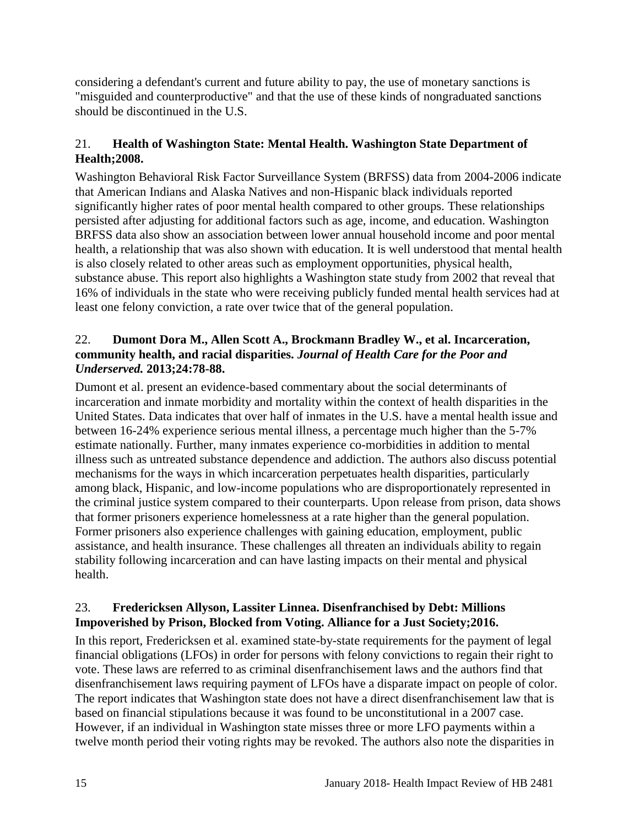considering a defendant's current and future ability to pay, the use of monetary sanctions is "misguided and counterproductive" and that the use of these kinds of nongraduated sanctions should be discontinued in the U.S.

## <span id="page-16-0"></span>21. **Health of Washington State: Mental Health. Washington State Department of Health;2008.**

Washington Behavioral Risk Factor Surveillance System (BRFSS) data from 2004-2006 indicate that American Indians and Alaska Natives and non-Hispanic black individuals reported significantly higher rates of poor mental health compared to other groups. These relationships persisted after adjusting for additional factors such as age, income, and education. Washington BRFSS data also show an association between lower annual household income and poor mental health, a relationship that was also shown with education. It is well understood that mental health is also closely related to other areas such as employment opportunities, physical health, substance abuse. This report also highlights a Washington state study from 2002 that reveal that 16% of individuals in the state who were receiving publicly funded mental health services had at least one felony conviction, a rate over twice that of the general population.

### 22. **Dumont Dora M., Allen Scott A., Brockmann Bradley W., et al. Incarceration, community health, and racial disparities.** *Journal of Health Care for the Poor and Underserved.* **2013;24:78-88.**

Dumont et al. present an evidence-based commentary about the social determinants of incarceration and inmate morbidity and mortality within the context of health disparities in the United States. Data indicates that over half of inmates in the U.S. have a mental health issue and between 16-24% experience serious mental illness, a percentage much higher than the 5-7% estimate nationally. Further, many inmates experience co-morbidities in addition to mental illness such as untreated substance dependence and addiction. The authors also discuss potential mechanisms for the ways in which incarceration perpetuates health disparities, particularly among black, Hispanic, and low-income populations who are disproportionately represented in the criminal justice system compared to their counterparts. Upon release from prison, data shows that former prisoners experience homelessness at a rate higher than the general population. Former prisoners also experience challenges with gaining education, employment, public assistance, and health insurance. These challenges all threaten an individuals ability to regain stability following incarceration and can have lasting impacts on their mental and physical health.

### 23. **Fredericksen Allyson, Lassiter Linnea. Disenfranchised by Debt: Millions Impoverished by Prison, Blocked from Voting. Alliance for a Just Society;2016.**

In this report, Fredericksen et al. examined state-by-state requirements for the payment of legal financial obligations (LFOs) in order for persons with felony convictions to regain their right to vote. These laws are referred to as criminal disenfranchisement laws and the authors find that disenfranchisement laws requiring payment of LFOs have a disparate impact on people of color. The report indicates that Washington state does not have a direct disenfranchisement law that is based on financial stipulations because it was found to be unconstitutional in a 2007 case. However, if an individual in Washington state misses three or more LFO payments within a twelve month period their voting rights may be revoked. The authors also note the disparities in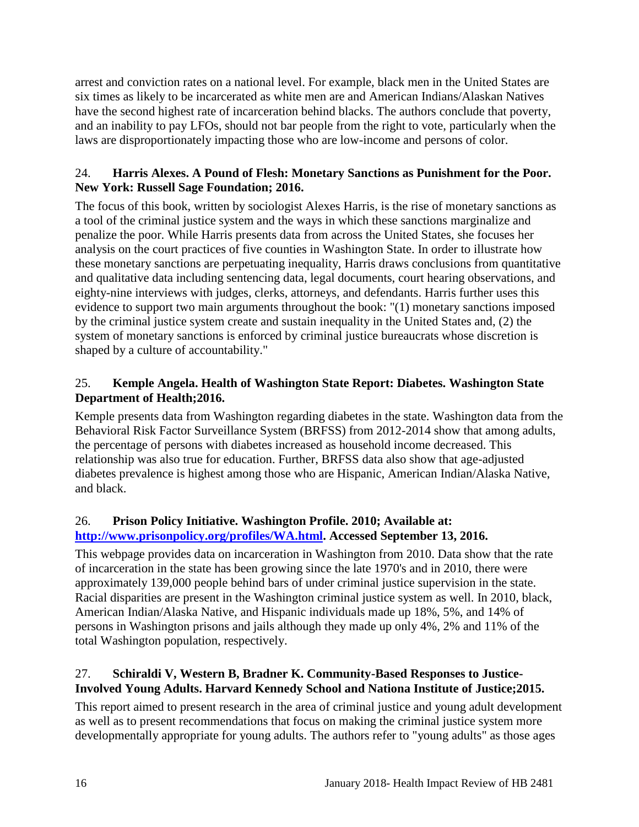arrest and conviction rates on a national level. For example, black men in the United States are six times as likely to be incarcerated as white men are and American Indians/Alaskan Natives have the second highest rate of incarceration behind blacks. The authors conclude that poverty, and an inability to pay LFOs, should not bar people from the right to vote, particularly when the laws are disproportionately impacting those who are low-income and persons of color.

## 24. **Harris Alexes. A Pound of Flesh: Monetary Sanctions as Punishment for the Poor. New York: Russell Sage Foundation; 2016.**

The focus of this book, written by sociologist Alexes Harris, is the rise of monetary sanctions as a tool of the criminal justice system and the ways in which these sanctions marginalize and penalize the poor. While Harris presents data from across the United States, she focuses her analysis on the court practices of five counties in Washington State. In order to illustrate how these monetary sanctions are perpetuating inequality, Harris draws conclusions from quantitative and qualitative data including sentencing data, legal documents, court hearing observations, and eighty-nine interviews with judges, clerks, attorneys, and defendants. Harris further uses this evidence to support two main arguments throughout the book: "(1) monetary sanctions imposed by the criminal justice system create and sustain inequality in the United States and, (2) the system of monetary sanctions is enforced by criminal justice bureaucrats whose discretion is shaped by a culture of accountability."

# <span id="page-17-1"></span>25. **Kemple Angela. Health of Washington State Report: Diabetes. Washington State Department of Health;2016.**

Kemple presents data from Washington regarding diabetes in the state. Washington data from the Behavioral Risk Factor Surveillance System (BRFSS) from 2012-2014 show that among adults, the percentage of persons with diabetes increased as household income decreased. This relationship was also true for education. Further, BRFSS data also show that age-adjusted diabetes prevalence is highest among those who are Hispanic, American Indian/Alaska Native, and black.

# 26. **Prison Policy Initiative. Washington Profile. 2010; Available at: [http://www.prisonpolicy.org/profiles/WA.html.](http://www.prisonpolicy.org/profiles/WA.html) Accessed September 13, 2016.**

This webpage provides data on incarceration in Washington from 2010. Data show that the rate of incarceration in the state has been growing since the late 1970's and in 2010, there were approximately 139,000 people behind bars of under criminal justice supervision in the state. Racial disparities are present in the Washington criminal justice system as well. In 2010, black, American Indian/Alaska Native, and Hispanic individuals made up 18%, 5%, and 14% of persons in Washington prisons and jails although they made up only 4%, 2% and 11% of the total Washington population, respectively.

# <span id="page-17-0"></span>27. **Schiraldi V, Western B, Bradner K. Community-Based Responses to Justice-Involved Young Adults. Harvard Kennedy School and Nationa Institute of Justice;2015.**

This report aimed to present research in the area of criminal justice and young adult development as well as to present recommendations that focus on making the criminal justice system more developmentally appropriate for young adults. The authors refer to "young adults" as those ages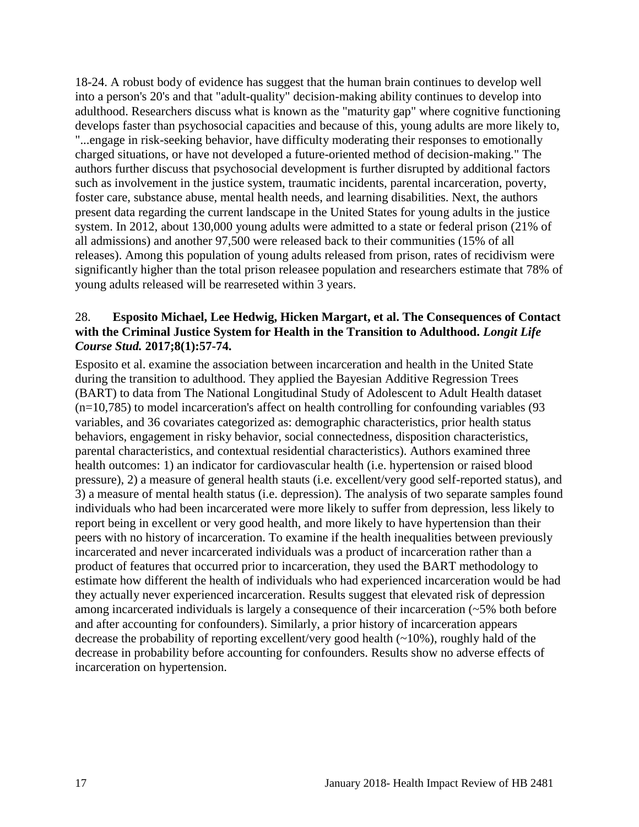18-24. A robust body of evidence has suggest that the human brain continues to develop well into a person's 20's and that "adult-quality" decision-making ability continues to develop into adulthood. Researchers discuss what is known as the "maturity gap" where cognitive functioning develops faster than psychosocial capacities and because of this, young adults are more likely to, "...engage in risk-seeking behavior, have difficulty moderating their responses to emotionally charged situations, or have not developed a future-oriented method of decision-making." The authors further discuss that psychosocial development is further disrupted by additional factors such as involvement in the justice system, traumatic incidents, parental incarceration, poverty, foster care, substance abuse, mental health needs, and learning disabilities. Next, the authors present data regarding the current landscape in the United States for young adults in the justice system. In 2012, about 130,000 young adults were admitted to a state or federal prison (21% of all admissions) and another 97,500 were released back to their communities (15% of all releases). Among this population of young adults released from prison, rates of recidivism were significantly higher than the total prison releasee population and researchers estimate that 78% of young adults released will be rearreseted within 3 years.

#### <span id="page-18-0"></span>28. **Esposito Michael, Lee Hedwig, Hicken Margart, et al. The Consequences of Contact with the Criminal Justice System for Health in the Transition to Adulthood.** *Longit Life Course Stud.* **2017;8(1):57-74.**

Esposito et al. examine the association between incarceration and health in the United State during the transition to adulthood. They applied the Bayesian Additive Regression Trees (BART) to data from The National Longitudinal Study of Adolescent to Adult Health dataset (n=10,785) to model incarceration's affect on health controlling for confounding variables (93 variables, and 36 covariates categorized as: demographic characteristics, prior health status behaviors, engagement in risky behavior, social connectedness, disposition characteristics, parental characteristics, and contextual residential characteristics). Authors examined three health outcomes: 1) an indicator for cardiovascular health (i.e. hypertension or raised blood pressure), 2) a measure of general health stauts (i.e. excellent/very good self-reported status), and 3) a measure of mental health status (i.e. depression). The analysis of two separate samples found individuals who had been incarcerated were more likely to suffer from depression, less likely to report being in excellent or very good health, and more likely to have hypertension than their peers with no history of incarceration. To examine if the health inequalities between previously incarcerated and never incarcerated individuals was a product of incarceration rather than a product of features that occurred prior to incarceration, they used the BART methodology to estimate how different the health of individuals who had experienced incarceration would be had they actually never experienced incarceration. Results suggest that elevated risk of depression among incarcerated individuals is largely a consequence of their incarceration (~5% both before and after accounting for confounders). Similarly, a prior history of incarceration appears decrease the probability of reporting excellent/very good health  $(\sim 10\%)$ , roughly hald of the decrease in probability before accounting for confounders. Results show no adverse effects of incarceration on hypertension.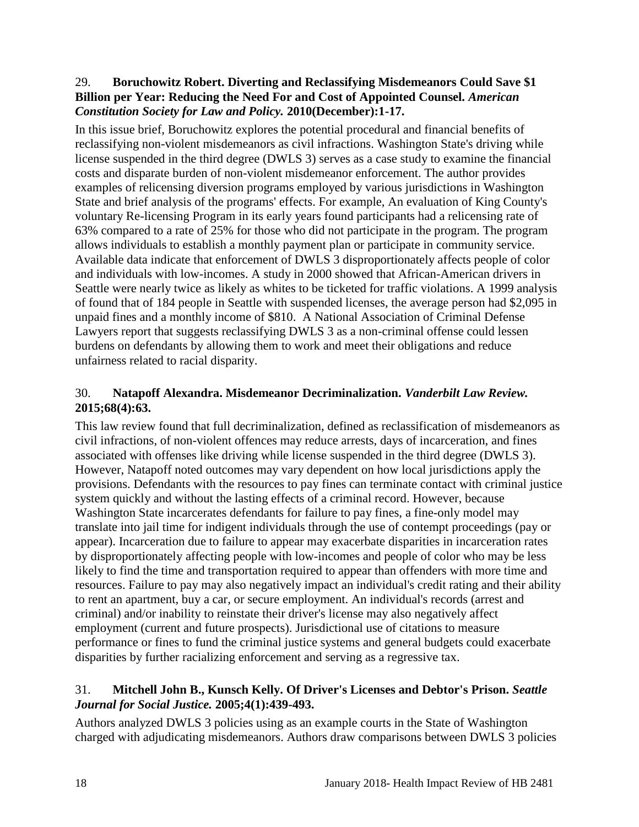#### <span id="page-19-0"></span>29. **Boruchowitz Robert. Diverting and Reclassifying Misdemeanors Could Save \$1 Billion per Year: Reducing the Need For and Cost of Appointed Counsel.** *American Constitution Society for Law and Policy.* **2010(December):1-17.**

In this issue brief, Boruchowitz explores the potential procedural and financial benefits of reclassifying non-violent misdemeanors as civil infractions. Washington State's driving while license suspended in the third degree (DWLS 3) serves as a case study to examine the financial costs and disparate burden of non-violent misdemeanor enforcement. The author provides examples of relicensing diversion programs employed by various jurisdictions in Washington State and brief analysis of the programs' effects. For example, An evaluation of King County's voluntary Re-licensing Program in its early years found participants had a relicensing rate of 63% compared to a rate of 25% for those who did not participate in the program. The program allows individuals to establish a monthly payment plan or participate in community service. Available data indicate that enforcement of DWLS 3 disproportionately affects people of color and individuals with low-incomes. A study in 2000 showed that African-American drivers in Seattle were nearly twice as likely as whites to be ticketed for traffic violations. A 1999 analysis of found that of 184 people in Seattle with suspended licenses, the average person had \$2,095 in unpaid fines and a monthly income of \$810. A National Association of Criminal Defense Lawyers report that suggests reclassifying DWLS 3 as a non-criminal offense could lessen burdens on defendants by allowing them to work and meet their obligations and reduce unfairness related to racial disparity.

# <span id="page-19-1"></span>30. **Natapoff Alexandra. Misdemeanor Decriminalization.** *Vanderbilt Law Review.*  **2015;68(4):63.**

This law review found that full decriminalization, defined as reclassification of misdemeanors as civil infractions, of non-violent offences may reduce arrests, days of incarceration, and fines associated with offenses like driving while license suspended in the third degree (DWLS 3). However, Natapoff noted outcomes may vary dependent on how local jurisdictions apply the provisions. Defendants with the resources to pay fines can terminate contact with criminal justice system quickly and without the lasting effects of a criminal record. However, because Washington State incarcerates defendants for failure to pay fines, a fine-only model may translate into jail time for indigent individuals through the use of contempt proceedings (pay or appear). Incarceration due to failure to appear may exacerbate disparities in incarceration rates by disproportionately affecting people with low-incomes and people of color who may be less likely to find the time and transportation required to appear than offenders with more time and resources. Failure to pay may also negatively impact an individual's credit rating and their ability to rent an apartment, buy a car, or secure employment. An individual's records (arrest and criminal) and/or inability to reinstate their driver's license may also negatively affect employment (current and future prospects). Jurisdictional use of citations to measure performance or fines to fund the criminal justice systems and general budgets could exacerbate disparities by further racializing enforcement and serving as a regressive tax.

### <span id="page-19-2"></span>31. **Mitchell John B., Kunsch Kelly. Of Driver's Licenses and Debtor's Prison.** *Seattle Journal for Social Justice.* **2005;4(1):439-493.**

Authors analyzed DWLS 3 policies using as an example courts in the State of Washington charged with adjudicating misdemeanors. Authors draw comparisons between DWLS 3 policies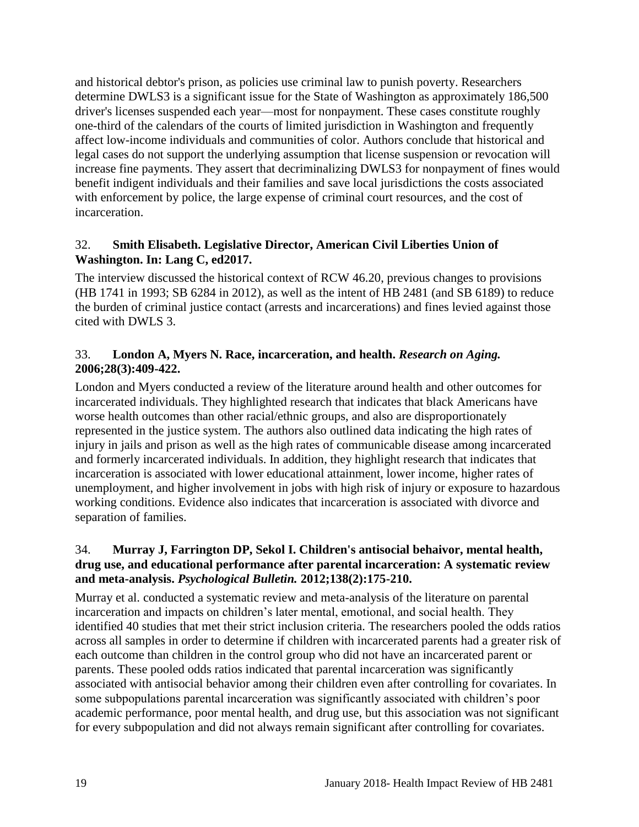and historical debtor's prison, as policies use criminal law to punish poverty. Researchers determine DWLS3 is a significant issue for the State of Washington as approximately 186,500 driver's licenses suspended each year—most for nonpayment. These cases constitute roughly one-third of the calendars of the courts of limited jurisdiction in Washington and frequently affect low-income individuals and communities of color. Authors conclude that historical and legal cases do not support the underlying assumption that license suspension or revocation will increase fine payments. They assert that decriminalizing DWLS3 for nonpayment of fines would benefit indigent individuals and their families and save local jurisdictions the costs associated with enforcement by police, the large expense of criminal court resources, and the cost of incarceration.

#### 32. **Smith Elisabeth. Legislative Director, American Civil Liberties Union of Washington. In: Lang C, ed2017.**

The interview discussed the historical context of RCW 46.20, previous changes to provisions (HB 1741 in 1993; SB 6284 in 2012), as well as the intent of HB 2481 (and SB 6189) to reduce the burden of criminal justice contact (arrests and incarcerations) and fines levied against those cited with DWLS 3.

#### 33. **London A, Myers N. Race, incarceration, and health.** *Research on Aging.*  **2006;28(3):409-422.**

London and Myers conducted a review of the literature around health and other outcomes for incarcerated individuals. They highlighted research that indicates that black Americans have worse health outcomes than other racial/ethnic groups, and also are disproportionately represented in the justice system. The authors also outlined data indicating the high rates of injury in jails and prison as well as the high rates of communicable disease among incarcerated and formerly incarcerated individuals. In addition, they highlight research that indicates that incarceration is associated with lower educational attainment, lower income, higher rates of unemployment, and higher involvement in jobs with high risk of injury or exposure to hazardous working conditions. Evidence also indicates that incarceration is associated with divorce and separation of families.

## 34. **Murray J, Farrington DP, Sekol I. Children's antisocial behaivor, mental health, drug use, and educational performance after parental incarceration: A systematic review and meta-analysis.** *Psychological Bulletin.* **2012;138(2):175-210.**

Murray et al. conducted a systematic review and meta-analysis of the literature on parental incarceration and impacts on children's later mental, emotional, and social health. They identified 40 studies that met their strict inclusion criteria. The researchers pooled the odds ratios across all samples in order to determine if children with incarcerated parents had a greater risk of each outcome than children in the control group who did not have an incarcerated parent or parents. These pooled odds ratios indicated that parental incarceration was significantly associated with antisocial behavior among their children even after controlling for covariates. In some subpopulations parental incarceration was significantly associated with children's poor academic performance, poor mental health, and drug use, but this association was not significant for every subpopulation and did not always remain significant after controlling for covariates.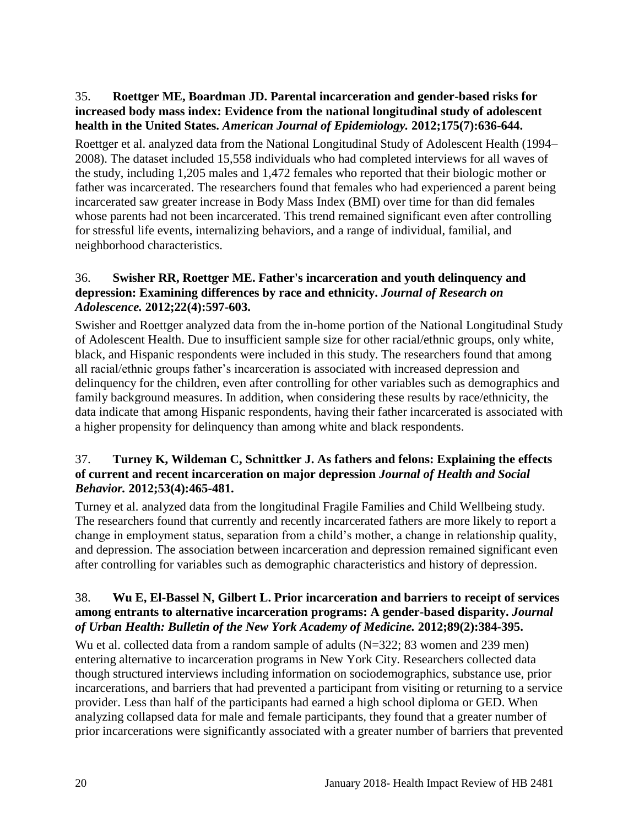### 35. **Roettger ME, Boardman JD. Parental incarceration and gender-based risks for increased body mass index: Evidence from the national longitudinal study of adolescent health in the United States.** *American Journal of Epidemiology.* **2012;175(7):636-644.**

Roettger et al. analyzed data from the National Longitudinal Study of Adolescent Health (1994– 2008). The dataset included 15,558 individuals who had completed interviews for all waves of the study, including 1,205 males and 1,472 females who reported that their biologic mother or father was incarcerated. The researchers found that females who had experienced a parent being incarcerated saw greater increase in Body Mass Index (BMI) over time for than did females whose parents had not been incarcerated. This trend remained significant even after controlling for stressful life events, internalizing behaviors, and a range of individual, familial, and neighborhood characteristics.

## 36. **Swisher RR, Roettger ME. Father's incarceration and youth delinquency and depression: Examining differences by race and ethnicity.** *Journal of Research on Adolescence.* **2012;22(4):597-603.**

Swisher and Roettger analyzed data from the in-home portion of the National Longitudinal Study of Adolescent Health. Due to insufficient sample size for other racial/ethnic groups, only white, black, and Hispanic respondents were included in this study. The researchers found that among all racial/ethnic groups father's incarceration is associated with increased depression and delinquency for the children, even after controlling for other variables such as demographics and family background measures. In addition, when considering these results by race/ethnicity, the data indicate that among Hispanic respondents, having their father incarcerated is associated with a higher propensity for delinquency than among white and black respondents.

#### <span id="page-21-0"></span>37. **Turney K, Wildeman C, Schnittker J. As fathers and felons: Explaining the effects of current and recent incarceration on major depression** *Journal of Health and Social Behavior.* **2012;53(4):465-481.**

Turney et al. analyzed data from the longitudinal Fragile Families and Child Wellbeing study. The researchers found that currently and recently incarcerated fathers are more likely to report a change in employment status, separation from a child's mother, a change in relationship quality, and depression. The association between incarceration and depression remained significant even after controlling for variables such as demographic characteristics and history of depression.

#### 38. **Wu E, El-Bassel N, Gilbert L. Prior incarceration and barriers to receipt of services among entrants to alternative incarceration programs: A gender-based disparity.** *Journal of Urban Health: Bulletin of the New York Academy of Medicine.* **2012;89(2):384-395.**

Wu et al. collected data from a random sample of adults (N=322; 83 women and 239 men) entering alternative to incarceration programs in New York City. Researchers collected data though structured interviews including information on sociodemographics, substance use, prior incarcerations, and barriers that had prevented a participant from visiting or returning to a service provider. Less than half of the participants had earned a high school diploma or GED. When analyzing collapsed data for male and female participants, they found that a greater number of prior incarcerations were significantly associated with a greater number of barriers that prevented